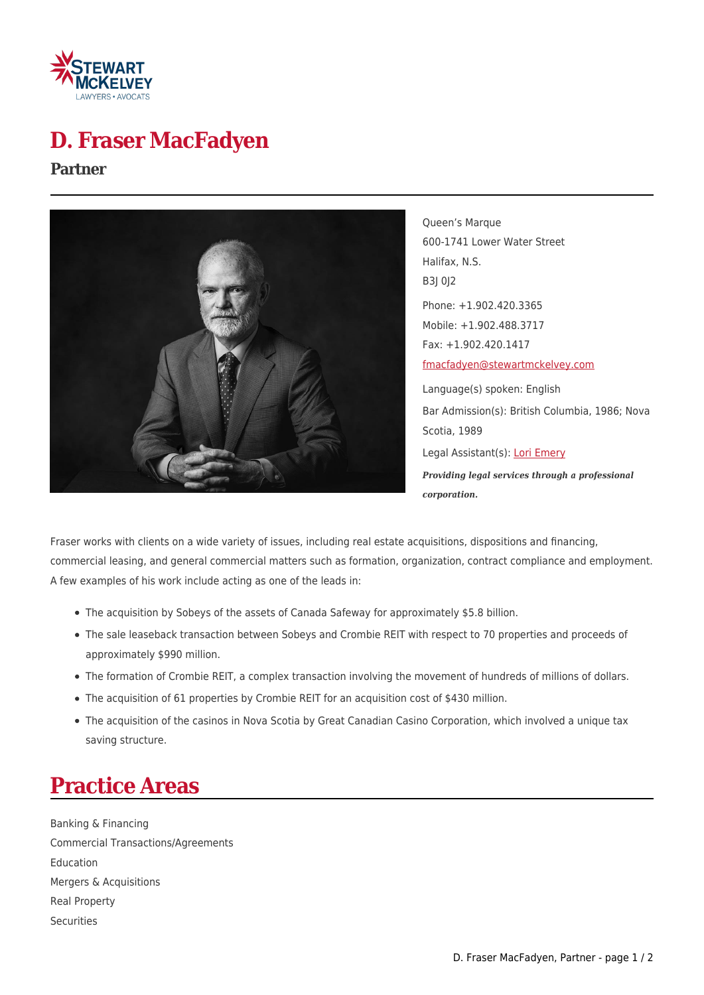

# **D. Fraser MacFadyen**

#### **Partner**



Queen's Marque 600-1741 Lower Water Street Halifax, N.S. B3J 0J2 Phone: +1.902.420.3365 Mobile: +1.902.488.3717 Fax: +1.902.420.1417 [fmacfadyen@stewartmckelvey.com](mailto:fmacfadyen@stewartmckelvey.com) Language(s) spoken: English Bar Admission(s): British Columbia, 1986; Nova Scotia, 1989 Legal Assistant(s): [Lori Emery](https://www.stewartmckelvey.com/legal_assistant/emery-lori) *Providing legal services through a professional corporation.*

Fraser works with clients on a wide variety of issues, including real estate acquisitions, dispositions and financing, commercial leasing, and general commercial matters such as formation, organization, contract compliance and employment. A few examples of his work include acting as one of the leads in:

- The acquisition by Sobeys of the assets of Canada Safeway for approximately \$5.8 billion.
- The sale leaseback transaction between Sobeys and Crombie REIT with respect to 70 properties and proceeds of approximately \$990 million.
- The formation of Crombie REIT, a complex transaction involving the movement of hundreds of millions of dollars.
- The acquisition of 61 properties by Crombie REIT for an acquisition cost of \$430 million.
- The acquisition of the casinos in Nova Scotia by Great Canadian Casino Corporation, which involved a unique tax saving structure.

# **Practice Areas**

Banking & Financing Commercial Transactions/Agreements Education Mergers & Acquisitions Real Property **Securities**